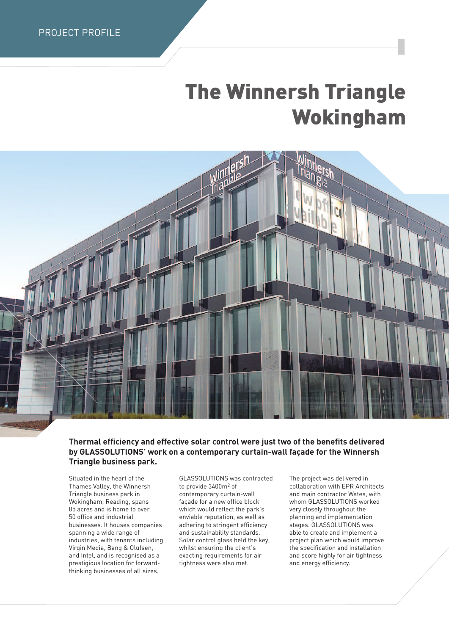## **The Winnersh Triangle Wokingham**



## **Thermal efficiency and effective solar control were just two of the benefits delivered by GLASSOLUTIONS' work on a contemporary curtain-wall façade for the Winnersh Triangle business park.**

Situated in the heart of the Thames Valley, the Winnersh Triangle business park in Wokingham, Reading, spans 85 acres and is home to over 50 office and industrial businesses. It houses companies spanning a wide range of industries, with tenants including Virgin Media, Bang & Olufsen, and Intel, and is recognised as a prestigious location for forwardthinking businesses of all sizes.

GLASSOLUTIONS was contracted to provide 3400m2 of contemporary curtain-wall façade for a new office block which would reflect the park's enviable reputation, as well as adhering to stringent efficiency and sustainability standards. Solar control glass held the key, whilst ensuring the client's exacting requirements for air tightness were also met.

The project was delivered in collaboration with EPR Architects and main contractor Wates, with whom GLASSOLUTIONS worked very closely throughout the planning and implementation stages. GLASSOLUTIONS was able to create and implement a project plan which would improve the specification and installation and score highly for air tightness and energy efficiency.